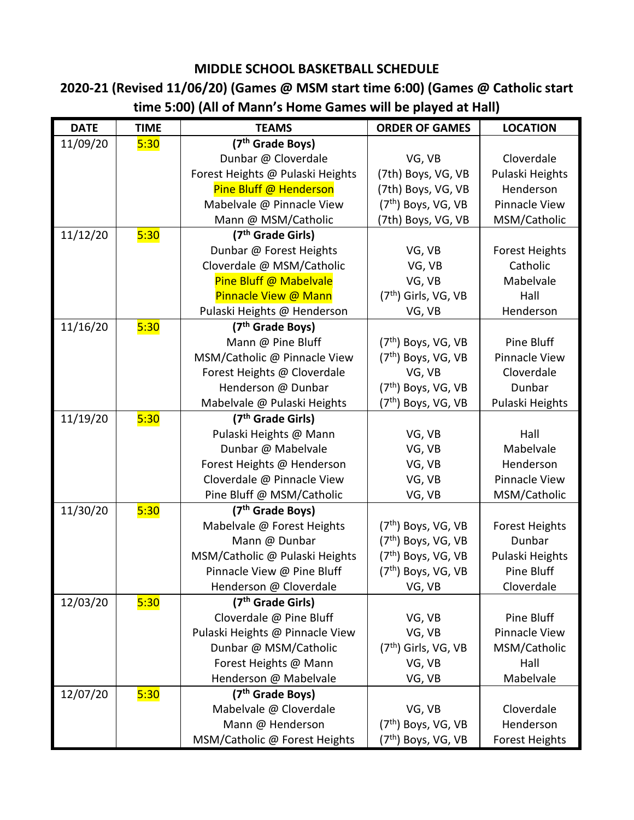## **MIDDLE SCHOOL BASKETBALL SCHEDULE**

## **2020-21 (Revised 11/06/20) (Games @ MSM start time 6:00) (Games @ Catholic start time 5:00) (All of Mann's Home Games will be played at Hall)**

| <b>DATE</b> | <b>TIME</b> | <b>TEAMS</b>                     | <b>ORDER OF GAMES</b>            | <b>LOCATION</b>       |
|-------------|-------------|----------------------------------|----------------------------------|-----------------------|
| 11/09/20    | 5:30        | (7 <sup>th</sup> Grade Boys)     |                                  |                       |
|             |             | Dunbar @ Cloverdale              | VG, VB                           | Cloverdale            |
|             |             | Forest Heights @ Pulaski Heights | (7th) Boys, VG, VB               | Pulaski Heights       |
|             |             | Pine Bluff @ Henderson           | (7th) Boys, VG, VB               | Henderson             |
|             |             | Mabelvale @ Pinnacle View        | $(7th)$ Boys, VG, VB             | Pinnacle View         |
|             |             | Mann @ MSM/Catholic              | (7th) Boys, VG, VB               | MSM/Catholic          |
| 11/12/20    | 5:30        | (7 <sup>th</sup> Grade Girls)    |                                  |                       |
|             |             | Dunbar @ Forest Heights          | VG, VB                           | <b>Forest Heights</b> |
|             |             | Cloverdale @ MSM/Catholic        | VG, VB                           | Catholic              |
|             |             | Pine Bluff @ Mabelvale           | VG, VB                           | Mabelvale             |
|             |             | Pinnacle View @ Mann             | $(7th)$ Girls, VG, VB            | Hall                  |
|             |             | Pulaski Heights @ Henderson      | VG, VB                           | Henderson             |
| 11/16/20    | 5:30        | (7 <sup>th</sup> Grade Boys)     |                                  |                       |
|             |             | Mann @ Pine Bluff                | $(7th)$ Boys, VG, VB             | Pine Bluff            |
|             |             | MSM/Catholic @ Pinnacle View     | $(7th)$ Boys, VG, VB             | Pinnacle View         |
|             |             | Forest Heights @ Cloverdale      | VG, VB                           | Cloverdale            |
|             |             | Henderson @ Dunbar               | (7th) Boys, VG, VB               | Dunbar                |
|             |             | Mabelvale @ Pulaski Heights      | (7 <sup>th</sup> ) Boys, VG, VB  | Pulaski Heights       |
| 11/19/20    | 5:30        | (7 <sup>th</sup> Grade Girls)    |                                  |                       |
|             |             | Pulaski Heights @ Mann           | VG, VB                           | Hall                  |
|             |             | Dunbar @ Mabelvale               | VG, VB                           | Mabelvale             |
|             |             | Forest Heights @ Henderson       | VG, VB                           | Henderson             |
|             |             | Cloverdale @ Pinnacle View       | VG, VB                           | Pinnacle View         |
|             |             | Pine Bluff @ MSM/Catholic        | VG, VB                           | MSM/Catholic          |
| 11/30/20    | 5:30        | (7 <sup>th</sup> Grade Boys)     |                                  |                       |
|             |             | Mabelvale @ Forest Heights       | $(7th)$ Boys, VG, VB             | <b>Forest Heights</b> |
|             |             | Mann @ Dunbar                    | $(7th)$ Boys, VG, VB             | Dunbar                |
|             |             | MSM/Catholic @ Pulaski Heights   | $(7th)$ Boys, VG, VB             | Pulaski Heights       |
|             |             | Pinnacle View @ Pine Bluff       | $(7th)$ Boys, VG, VB             | Pine Bluff            |
|             |             | Henderson @ Cloverdale           | VG, VB                           | Cloverdale            |
| 12/03/20    | 5:30        | (7 <sup>th</sup> Grade Girls)    |                                  |                       |
|             |             | Cloverdale @ Pine Bluff          | VG, VB                           | Pine Bluff            |
|             |             | Pulaski Heights @ Pinnacle View  | VG, VB                           | Pinnacle View         |
|             |             | Dunbar @ MSM/Catholic            | (7 <sup>th</sup> ) Girls, VG, VB | MSM/Catholic          |
|             |             | Forest Heights @ Mann            | VG, VB                           | Hall                  |
|             |             | Henderson @ Mabelvale            | VG, VB                           | Mabelvale             |
| 12/07/20    | 5:30        | (7 <sup>th</sup> Grade Boys)     |                                  |                       |
|             |             | Mabelvale @ Cloverdale           | VG, VB                           | Cloverdale            |
|             |             | Mann @ Henderson                 | (7th) Boys, VG, VB               | Henderson             |
|             |             | MSM/Catholic @ Forest Heights    | (7 <sup>th</sup> ) Boys, VG, VB  | <b>Forest Heights</b> |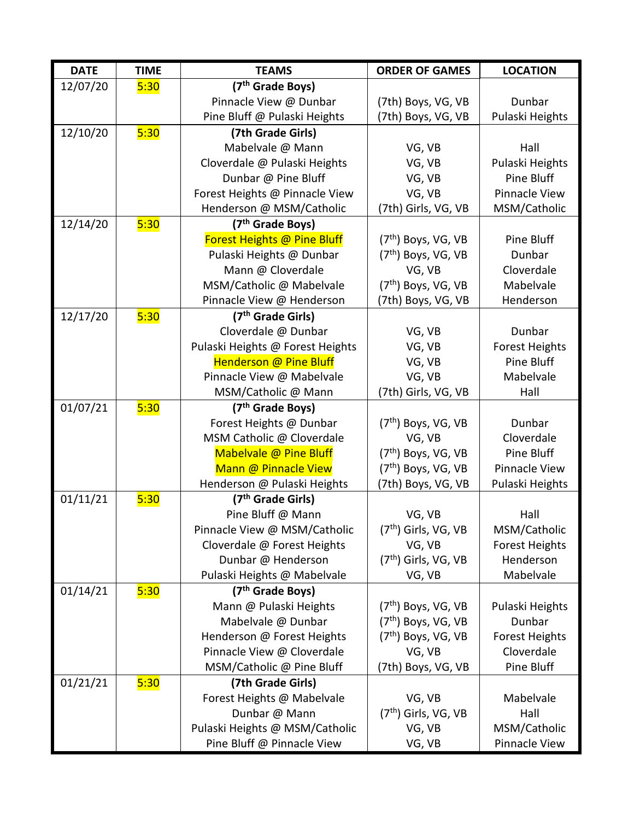| <b>DATE</b> | <b>TIME</b> | <b>TEAMS</b>                     | <b>ORDER OF GAMES</b>            | <b>LOCATION</b>          |
|-------------|-------------|----------------------------------|----------------------------------|--------------------------|
| 12/07/20    | 5:30        | (7 <sup>th</sup> Grade Boys)     |                                  |                          |
|             |             | Pinnacle View @ Dunbar           | (7th) Boys, VG, VB               | Dunbar                   |
|             |             | Pine Bluff @ Pulaski Heights     | (7th) Boys, VG, VB               | Pulaski Heights          |
| 12/10/20    | 5:30        | (7th Grade Girls)                |                                  |                          |
|             |             | Mabelvale @ Mann                 | VG, VB                           | Hall                     |
|             |             | Cloverdale @ Pulaski Heights     | VG, VB                           | Pulaski Heights          |
|             |             | Dunbar @ Pine Bluff              | VG, VB                           | Pine Bluff               |
|             |             | Forest Heights @ Pinnacle View   | VG, VB                           | <b>Pinnacle View</b>     |
|             |             | Henderson @ MSM/Catholic         | (7th) Girls, VG, VB              | MSM/Catholic             |
| 12/14/20    | 5:30        | (7 <sup>th</sup> Grade Boys)     |                                  |                          |
|             |             | Forest Heights @ Pine Bluff      | $(7th)$ Boys, VG, VB             | Pine Bluff               |
|             |             | Pulaski Heights @ Dunbar         | $(7th)$ Boys, VG, VB             | Dunbar                   |
|             |             | Mann @ Cloverdale                | VG, VB                           | Cloverdale               |
|             |             | MSM/Catholic @ Mabelvale         | (7 <sup>th</sup> ) Boys, VG, VB  | Mabelvale                |
|             |             | Pinnacle View @ Henderson        | (7th) Boys, VG, VB               | Henderson                |
| 12/17/20    | 5:30        | (7 <sup>th</sup> Grade Girls)    |                                  |                          |
|             |             | Cloverdale @ Dunbar              | VG, VB                           | Dunbar                   |
|             |             | Pulaski Heights @ Forest Heights | VG, VB                           | <b>Forest Heights</b>    |
|             |             | <b>Henderson @ Pine Bluff</b>    | VG, VB                           | Pine Bluff               |
|             |             | Pinnacle View @ Mabelvale        | VG, VB                           | Mabelvale                |
|             |             | MSM/Catholic @ Mann              | (7th) Girls, VG, VB              | Hall                     |
| 01/07/21    | 5:30        | (7 <sup>th</sup> Grade Boys)     |                                  |                          |
|             |             | Forest Heights @ Dunbar          | $(7th)$ Boys, VG, VB             | Dunbar                   |
|             |             | MSM Catholic @ Cloverdale        | VG, VB                           | Cloverdale               |
|             |             | Mabelvale @ Pine Bluff           | $(7th)$ Boys, VG, VB             | Pine Bluff               |
|             |             | Mann @ Pinnacle View             | $(7th)$ Boys, VG, VB             | <b>Pinnacle View</b>     |
|             |             | Henderson @ Pulaski Heights      | (7th) Boys, VG, VB               | Pulaski Heights          |
| 01/11/21    | 5:30        | (7 <sup>th</sup> Grade Girls)    |                                  |                          |
|             |             | Pine Bluff @ Mann                | VG, VB                           | Hall                     |
|             |             | Pinnacle View @ MSM/Catholic     | (7 <sup>th</sup> ) Girls, VG, VB | MSM/Catholic             |
|             |             | Cloverdale @ Forest Heights      | VG, VB                           | <b>Forest Heights</b>    |
|             |             | Dunbar @ Henderson               | (7 <sup>th</sup> ) Girls, VG, VB | Henderson                |
|             |             | Pulaski Heights @ Mabelvale      | VG, VB                           | Mabelvale                |
| 01/14/21    | 5:30        | (7 <sup>th</sup> Grade Boys)     |                                  |                          |
|             |             | Mann @ Pulaski Heights           | $(7th)$ Boys, VG, VB             | Pulaski Heights          |
|             |             | Mabelvale @ Dunbar               | $(7th)$ Boys, VG, VB             | Dunbar                   |
|             |             | Henderson @ Forest Heights       | $(7th)$ Boys, VG, VB             | <b>Forest Heights</b>    |
|             |             | Pinnacle View @ Cloverdale       | VG, VB                           | Cloverdale<br>Pine Bluff |
|             |             | MSM/Catholic @ Pine Bluff        | (7th) Boys, VG, VB               |                          |
| 01/21/21    | 5:30        | (7th Grade Girls)                |                                  |                          |
|             |             | Forest Heights @ Mabelvale       | VG, VB                           | Mabelvale                |
|             |             | Dunbar @ Mann                    | $(7th)$ Girls, VG, VB            | Hall                     |
|             |             | Pulaski Heights @ MSM/Catholic   | VG, VB                           | MSM/Catholic             |
|             |             | Pine Bluff @ Pinnacle View       | VG, VB                           | Pinnacle View            |